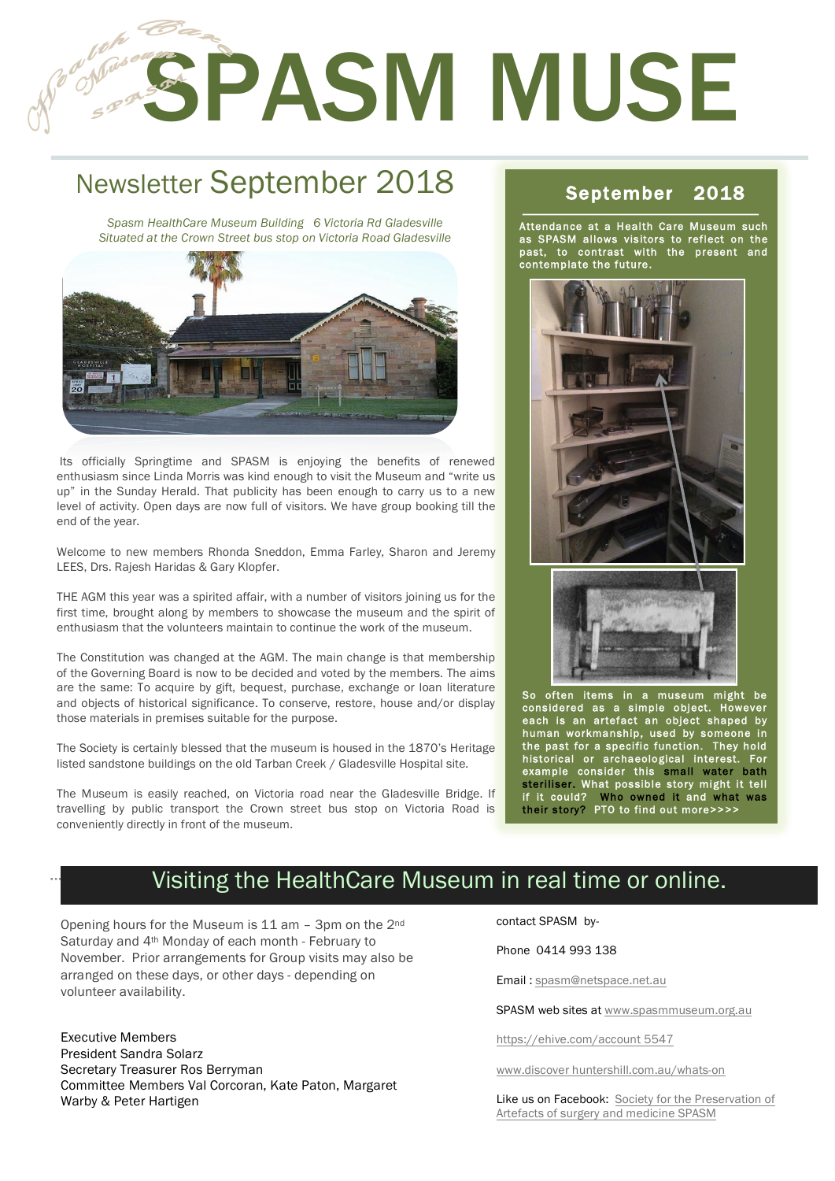# **SPASM MUSE**

# Newsletter September 2018

1

2

*Spasm HealthCare Museum Building 6 Victoria Rd Gladesville Situated at the Crown Street bus stop on Victoria Road Gladesville*



Its officially Springtime and SPASM is enjoying the benefits of renewed enthusiasm since Linda Morris was kind enough to visit the Museum and "write us up" in the Sunday Herald. That publicity has been enough to carry us to a new level of activity. Open days are now full of visitors. We have group booking till the end of the year.

Welcome to new members Rhonda Sneddon, Emma Farley, Sharon and Jeremy LEES, Drs. Rajesh Haridas & Gary Klopfer.

THE AGM this year was a spirited affair, with a number of visitors joining us for the first time, brought along by members to showcase the museum and the spirit of enthusiasm that the volunteers maintain to continue the work of the museum.

The Constitution was changed at the AGM. The main change is that membership of the Governing Board is now to be decided and voted by the members. The aims are the same: To acquire by gift, bequest, purchase, exchange or loan literature and objects of historical significance. To conserve, restore, house and/or display those materials in premises suitable for the purpose.

The Society is certainly blessed that the museum is housed in the 1870's Heritage listed sandstone buildings on the old Tarban Creek / Gladesville Hospital site.

The Museum is easily reached, on Victoria road near the Gladesville Bridge. If travelling by public transport the Crown street bus stop on Victoria Road is conveniently directly in front of the museum.

#### September 2018

Attendance at a Health Care Museum such as SPASM allows visitors to reflect on the past, to contrast with the present and contemplate the future.





So often items in a museum might be considered as a simple object. However each is an artefact an object shaped by human workmanship, used by someone in the past for a specific function. They hold historical or archaeological interest. For example consider this small water bath steriliser. What possible story might it tell if it could? Who owned it and what was their story? PTO to find out more>>>>

## Visiting the HealthCare Museum in real time or online.

Opening hours for the Museum is 11 am – 3pm on the 2nd Saturday and 4th Monday of each month - February to November. Prior arrangements for Group visits may also be arranged on these days, or other days - depending on volunteer availability.

Executive Members President Sandra Solarz Secretary Treasurer Ros Berryman Committee Members Val Corcoran, Kate Paton, Margaret Warby & Peter Hartigen

contact SPASM by-

Phone 0414 993 138

Email : spasm@netspace.net.au

SPASM web sites at www.spasmmuseum.org.au

https://ehive.com/account 5547

www.discover huntershill.com.au/whats-on

Like us on Facebook: Society for the Preservation of Artefacts of surgery and medicine SPASM